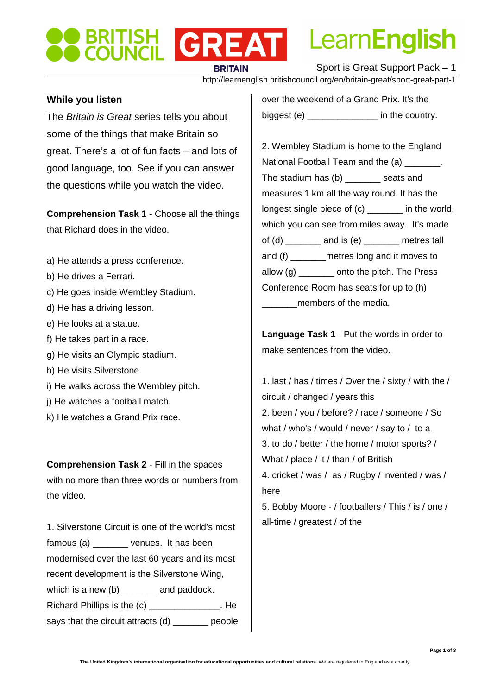# Learn**English**

**BRITAIN** 

Sport is Great Support Pack – 1

http://learnenglish.britishcouncil.org/en/britain-great/sport-great-part-1

#### **While you listen**

The Britain is Great series tells you about some of the things that make Britain so great. There's a lot of fun facts – and lots of good language, too. See if you can answer the questions while you watch the video.

**BRITISH GREAT** 

**Comprehension Task 1** - Choose all the things that Richard does in the video.

- a) He attends a press conference.
- b) He drives a Ferrari.
- c) He goes inside Wembley Stadium.
- d) He has a driving lesson.
- e) He looks at a statue.
- f) He takes part in a race.
- g) He visits an Olympic stadium.
- h) He visits Silverstone.
- i) He walks across the Wembley pitch.
- j) He watches a football match.
- k) He watches a Grand Prix race.

**Comprehension Task 2** - Fill in the spaces with no more than three words or numbers from the video.

1. Silverstone Circuit is one of the world's most famous (a) \_\_\_\_\_\_\_ venues. It has been modernised over the last 60 years and its most recent development is the Silverstone Wing, which is a new (b) \_\_\_\_\_\_\_ and paddock. Richard Phillips is the (c) The Richard Phillips is the  $\sim$ says that the circuit attracts (d) \_\_\_\_\_\_\_ people over the weekend of a Grand Prix. It's the biggest (e) and in the country.

2. Wembley Stadium is home to the England National Football Team and the (a) The state of the U. The stadium has (b) eats and measures 1 km all the way round. It has the longest single piece of (c) \_\_\_\_\_\_\_ in the world, which you can see from miles away. It's made of (d) and is (e) entres tall and (f) \_\_\_\_\_\_\_metres long and it moves to allow (g) \_\_\_\_\_\_\_ onto the pitch. The Press Conference Room has seats for up to (h) members of the media.

**Language Task 1** - Put the words in order to make sentences from the video.

1. last / has / times / Over the / sixty / with the / circuit / changed / years this 2. been / you / before? / race / someone / So what / who's / would / never / say to / to a 3. to do / better / the home / motor sports? / What / place / it / than / of British 4. cricket / was / as / Rugby / invented / was / here 5. Bobby Moore - / footballers / This / is / one /

all-time / greatest / of the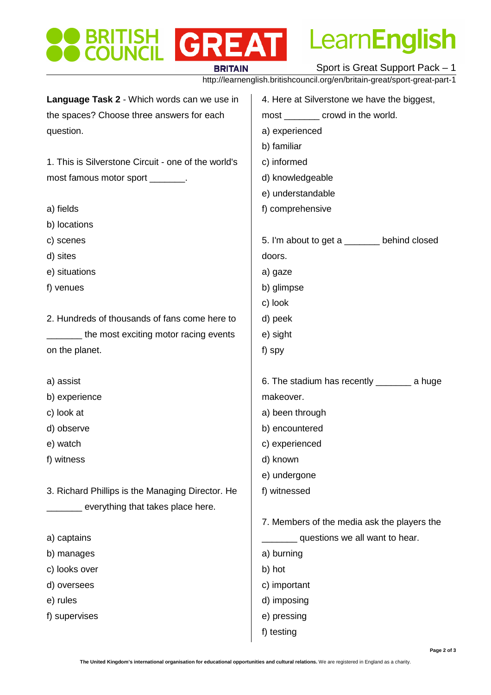### **OBRITISH GREAT BRITAIN**

LearnEnglish

Sport is Great Support Pack – 1

http://learnenglish.britishcouncil.org/en/britain-great/sport-great-part-1

| Language Task 2 - Which words can we use in         | 4. Here at Silverstone we have the biggest,  |
|-----------------------------------------------------|----------------------------------------------|
| the spaces? Choose three answers for each           | most _________ crowd in the world.           |
| question.                                           | a) experienced                               |
|                                                     | b) familiar                                  |
| 1. This is Silverstone Circuit - one of the world's | c) informed                                  |
| most famous motor sport _______.                    | d) knowledgeable                             |
|                                                     | e) understandable                            |
| a) fields                                           | f) comprehensive                             |
| b) locations                                        |                                              |
| c) scenes                                           | 5. I'm about to get a _______ behind closed  |
| d) sites                                            | doors.                                       |
| e) situations                                       | a) gaze                                      |
| f) venues                                           | b) glimpse                                   |
|                                                     | c) look                                      |
| 2. Hundreds of thousands of fans come here to       | d) peek                                      |
| the most exciting motor racing events               | e) sight                                     |
| on the planet.                                      | f) spy                                       |
|                                                     |                                              |
|                                                     |                                              |
| a) assist                                           | 6. The stadium has recently _________ a huge |
| b) experience                                       | makeover.                                    |
| c) look at                                          | a) been through                              |
| d) observe                                          | b) encountered                               |
| e) watch                                            | c) experienced                               |
| f) witness                                          | d) known                                     |
|                                                     | e) undergone                                 |
| 3. Richard Phillips is the Managing Director. He    | f) witnessed                                 |
| everything that takes place here.                   |                                              |
|                                                     | 7. Members of the media ask the players the  |
| a) captains                                         | questions we all want to hear.               |
| b) manages                                          | a) burning                                   |
| c) looks over                                       | b) hot                                       |
| d) oversees                                         | c) important                                 |
| e) rules                                            | d) imposing                                  |
| f) supervises                                       | e) pressing                                  |